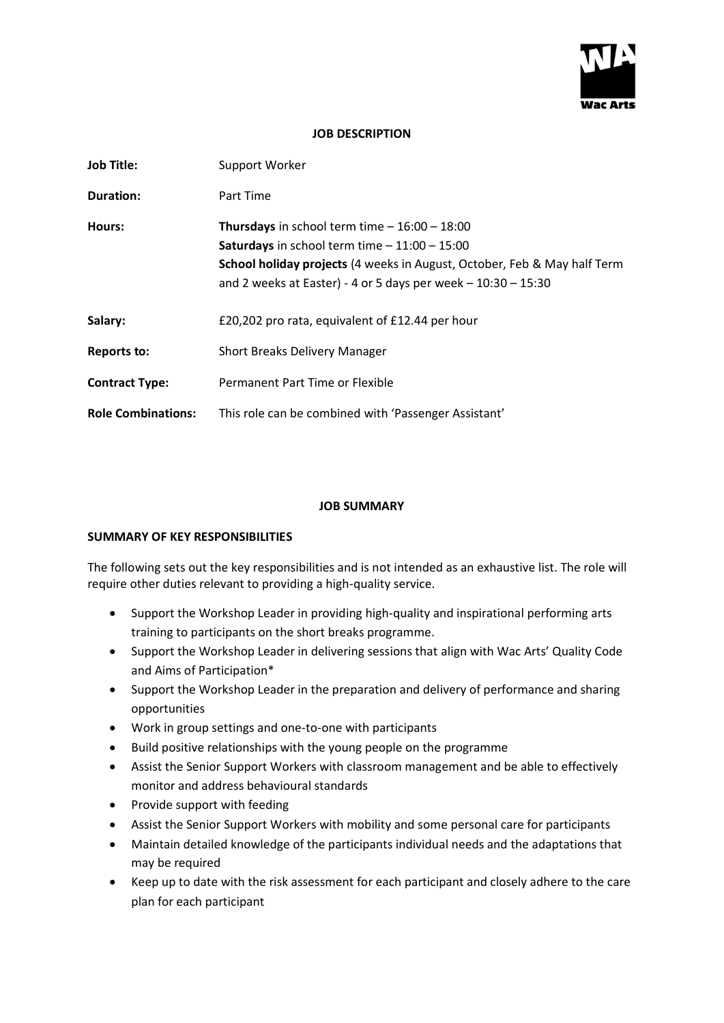

## **JOB DESCRIPTION**

| <b>Job Title:</b>         | Support Worker                                                                                                                                                                                                                                               |
|---------------------------|--------------------------------------------------------------------------------------------------------------------------------------------------------------------------------------------------------------------------------------------------------------|
| <b>Duration:</b>          | Part Time                                                                                                                                                                                                                                                    |
| Hours:                    | <b>Thursdays</b> in school term time $-16:00 - 18:00$<br><b>Saturdays</b> in school term time $-11:00 - 15:00$<br>School holiday projects (4 weeks in August, October, Feb & May half Term<br>and 2 weeks at Easter) - 4 or 5 days per week $-10:30 - 15:30$ |
| Salary:                   | £20,202 pro rata, equivalent of £12.44 per hour                                                                                                                                                                                                              |
| <b>Reports to:</b>        | <b>Short Breaks Delivery Manager</b>                                                                                                                                                                                                                         |
| <b>Contract Type:</b>     | Permanent Part Time or Flexible                                                                                                                                                                                                                              |
| <b>Role Combinations:</b> | This role can be combined with 'Passenger Assistant'                                                                                                                                                                                                         |

#### **JOB SUMMARY**

#### **SUMMARY OF KEY RESPONSIBILITIES**

The following sets out the key responsibilities and is not intended as an exhaustive list. The role will require other duties relevant to providing a high-quality service.

- Support the Workshop Leader in providing high-quality and inspirational performing arts training to participants on the short breaks programme.
- Support the Workshop Leader in delivering sessions that align with Wac Arts' Quality Code and Aims of Participation\*
- Support the Workshop Leader in the preparation and delivery of performance and sharing opportunities
- Work in group settings and one-to-one with participants
- Build positive relationships with the young people on the programme
- Assist the Senior Support Workers with classroom management and be able to effectively monitor and address behavioural standards
- Provide support with feeding
- Assist the Senior Support Workers with mobility and some personal care for participants
- Maintain detailed knowledge of the participants individual needs and the adaptations that may be required
- Keep up to date with the risk assessment for each participant and closely adhere to the care plan for each participant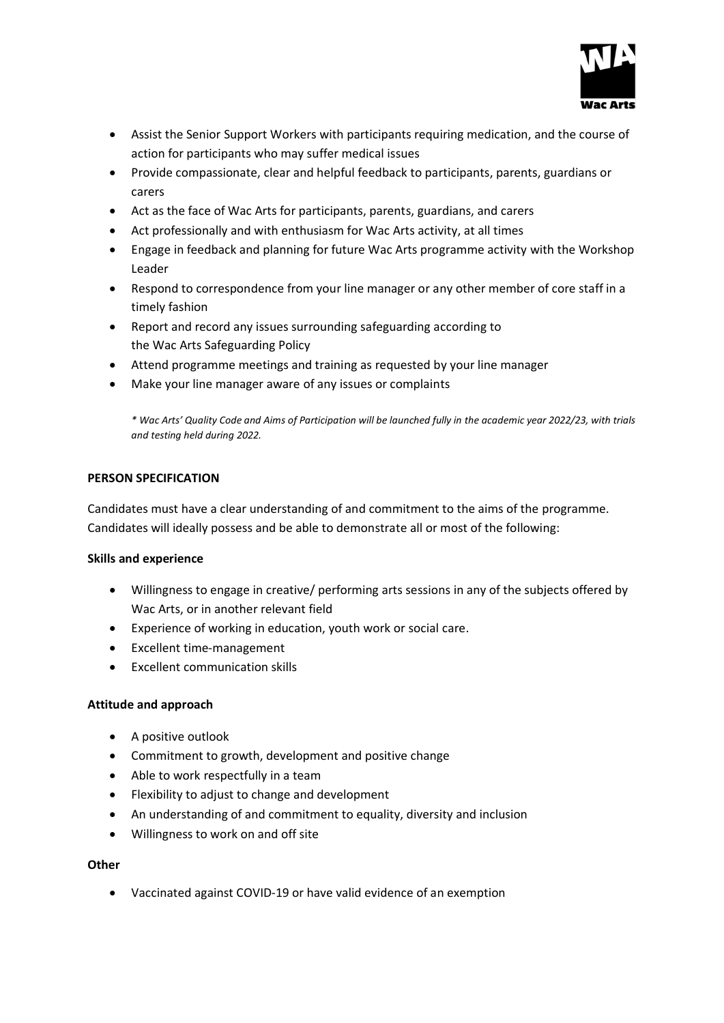

- Assist the Senior Support Workers with participants requiring medication, and the course of action for participants who may suffer medical issues
- Provide compassionate, clear and helpful feedback to participants, parents, guardians or carers
- Act as the face of Wac Arts for participants, parents, guardians, and carers
- Act professionally and with enthusiasm for Wac Arts activity, at all times
- Engage in feedback and planning for future Wac Arts programme activity with the Workshop Leader
- Respond to correspondence from your line manager or any other member of core staff in a timely fashion
- Report and record any issues surrounding safeguarding according to the Wac Arts Safeguarding Policy
- Attend programme meetings and training as requested by your line manager
- Make your line manager aware of any issues or complaints

*\* Wac Arts' Quality Code and Aims of Participation will be launched fully in the academic year 2022/23, with trials and testing held during 2022.*

## **PERSON SPECIFICATION**

Candidates must have a clear understanding of and commitment to the aims of the programme. Candidates will ideally possess and be able to demonstrate all or most of the following:

## **Skills and experience**

- Willingness to engage in creative/ performing arts sessions in any of the subjects offered by Wac Arts, or in another relevant field
- Experience of working in education, youth work or social care.
- Excellent time-management
- Excellent communication skills

## **Attitude and approach**

- A positive outlook
- Commitment to growth, development and positive change
- Able to work respectfully in a team
- Flexibility to adjust to change and development
- An understanding of and commitment to equality, diversity and inclusion
- Willingness to work on and off site

## **Other**

• Vaccinated against COVID-19 or have valid evidence of an exemption